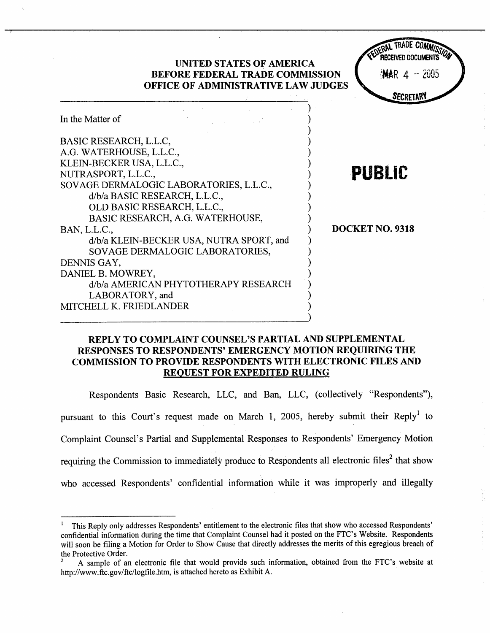

# REPLY TO COMPLAINT COUNSEL'S PARTIAL AND SUPPLEMENTAL RESPONSES TO RESPONDENTS' EMERGENCY MOTION REQUIRING THE COMMISSION TO PROVIDE RESPONDENTS WITH ELECTRONIC FILES AND REQUEST FOR EXPEDITED RULING

Respondents Basic Research, LLC, and Ban, LLC, (collectively "Respondents"), pursuant to this Court's request made on March 1, 2005, hereby submit their Reply<sup>1</sup> to Complaint Counsel's Partial and Supplemental Responses to Respondents' Emergency Motion requiring the Commission to immediately produce to Respondents all electronic files<sup>2</sup> that show who accessed Respondents' confidential information while it was improperly and illegally

<sup>!</sup> This Reply only addresses Respondents' entitlement to the electronic fies that show who accessed Respondents confidential information during the time that Complaint Counsel had it posted on the FTC's Website. Respondents will soon be filing a Motion for Order to Show Cause that directly addresses the merits of this egregious breach of the Protective Order.

A sample of an electronic file that would provide such information, obtained from the FTC's website at http://www.ftc.gov/ftc/logfie.htm. is attached hereto as Exbibit A.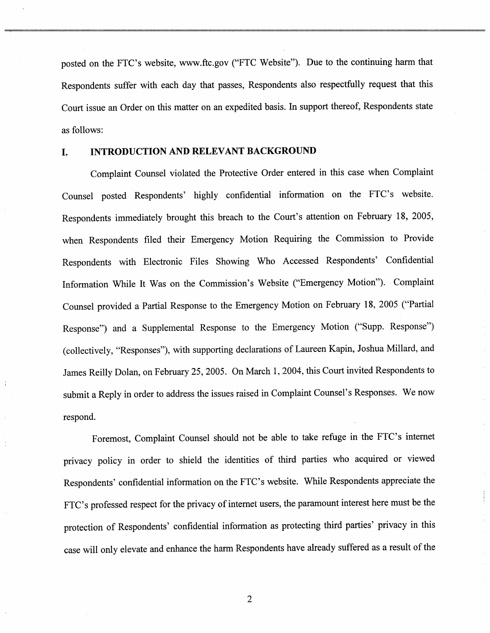posted on the FTC's website, www.ftc.gov ("FTC Website"). Due to the continuing harm that Respondents suffer with each day that passes, Respondents also respectfully request that this Court issue an Order on this matter on an expedited basis. In support thereof, Respondents state as follows:

#### INTRODUCTION AND RELEVANT BACKGROUND L.

Complaint Counsel violated the Protective Order entered in this case when Complaint Counsel posted Respondents' highly confidential information on the FTC's website. Respondents immediately brought this breach to the Court's attention on February 18, 2005, when Respondents filed their Emergency Motion Requiring the Commission to Provide Respondents with Electronic Files Showing Who Accessed Respondents' Confidential Information While It Was on the Commission's Website ("Emergency Motion"). Complaint Counsel provided a Partial Response to the Emergency Motion on February 18 , 2005 ("Partial Response") and a Supplemental Response to the Emergency Motion ("Supp. Response") (collectively, "Responses"), with supporting declarations of Laureen Kapin, Joshua Millard, and James Reilly Dolan, on February 25, 2005. On March 1, 2004, this Court invited Respondents to submit a Reply in order to address the issues raised in Complaint Counsel's Responses. We now respond.

Foremost, Complaint Counsel should not be able to take refuge in the FTC's internet privacy policy in order to shield the identities of third parties who acquired or viewed Respondents' confidential information on the FTC's website. While Respondents appreciate the FTC's professed respect for the privacy of internet users, the paramount interest here must be the protection of Respondents' confidential information as protecting third parties' privacy in this case will only elevate and enhance the harm Respondents have already suffered as a result of the

 $\overline{2}$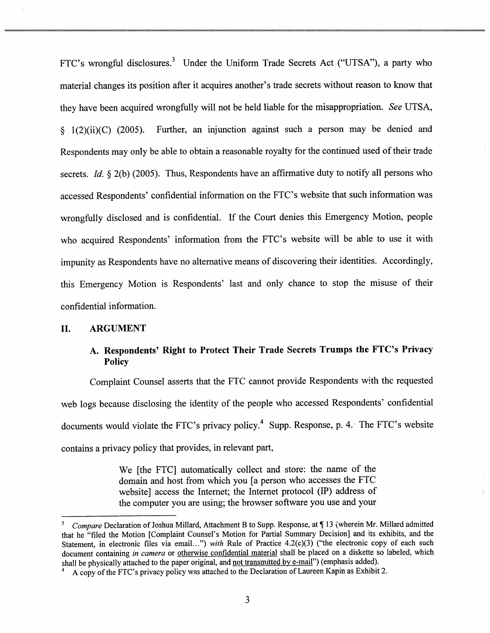FTC's wrongful disclosures.<sup>3</sup> Under the Uniform Trade Secrets Act ("UTSA"), a party who material changes its position after it acquires another's trade secrets without reason to know that they have been acquired wrongfully will not be held liable for the misappropriation. See UTSA 1(2)(ii)(C) (2005). Further, an injunction against such a person may be denied and Respondents may only be able to obtain a reasonable royalty for the continued used of their trade secrets. Id.  $\S$  2(b) (2005). Thus, Respondents have an affirmative duty to notify all persons who accessed Respondents' confidential information on the FTC's website that such information was wrongfully disclosed and is confidential. If the Court denies this Emergency Motion, people who acquired Respondents' information from the FTC's website will be able to use it with impunity as Respondents have no alternative means of discovering their identities. Accordingly, this Emergency Motion is Respondents' last and only chance to stop the misuse of their confidential information.

### II. ARGUMENT

# A. Respondents' Right to Protect Their Trade Secrets Trumps the FTC's Privacy Policy

Complaint Counsel asserts that the FTC cannot provide Respondents with the requested web logs because disclosing the identity of the people who accessed Respondents' confidential documents would violate the FTC's privacy policy.<sup>4</sup> Supp. Response, p. 4. The FTC's website contains a privacy policy that provides, in relevant part

> We (the FTC) automatically collect and store: the name of the domain and host from which you (a person who accesses the FTC website] access the Internet; the Internet protocol (IP) address of the computer you are using; the browser software you use and your

Compare Declaration of Joshua Millard, Attachment B to Supp. Response, at ¶13 (wherein Mr. Millard admitted that he "filed the Motion [Complaint Counsel's Motion for Partial Summary Decision] and its exhibits, and the Statement, in electronic files via email...") with Rule of Practice  $4.2(c)(3)$  ("the electronic copy of each such document containing in camera or otherwise confidential material shall be placed on a diskette so labeled, which shall be physically attached to the paper original, and not transmitted by e-mail") (emphasis added).

A copy of the FTC's privacy policy was attached to the Declaration of Laureen Kapin as Exhibit 2.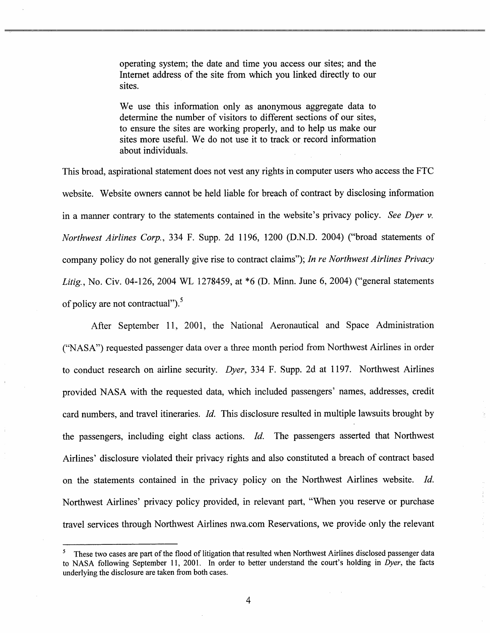operating system; the date and time you access our sites; and the Internet address of the site from which you linked directly to our sites.

We use this information only as anonymous aggregate data to determine the number of visitors to different sections of our sites to ensure the sites are working properly, and to help us make our sites more useful. We do not use it to track or record information about individuals.

This broad, aspirational statement does not vest any rights in computer users who access the FTC website. Website owners cannot be held liable for breach of contract by disclosing information in a manner contrary to the statements contained in the website's privacy policy. See Dyer  $\nu$ . Northwest Airlines Corp., 334 F. Supp. 2d 1196, 1200 (D.N.D. 2004) ("broad statements of company policy do not generally give rise to contract claims"); In re Northwest Airlines Privacy Litig., No. Civ. 04-126, 2004 WL 1278459, at \*6 (D. Minn. June 6, 2004) ("general statements of policy are not contractual"). $5$ 

After September 11, 2001, the National Aeronautical and Space Administration ("NASA") requested passenger data over a three month period from Northwest Airlines in order to conduct research on airline security. *Dyer*, 334 F. Supp. 2d at 1197. Northwest Airlines provided NASA with the requested data, which included passengers' names, addresses, credit card numbers, and travel itineraries. Id. This disclosure resulted in multiple lawsuits brought by the passengers, including eight class actions. Id. The passengers asserted that Northwest Airlines' disclosure violated their privacy rights and also constituted a breach of contract based on the statements contained in the privacy policy on the Northwest Airlines website. Id. Northwest Airlines' privacy policy provided, in relevant part, "When you reserve or purchase travel services through Northwest Airlines nwa.com Reservations, we provide only the relevant

<sup>&</sup>lt;sup>5</sup> These two cases are part of the flood of litigation that resulted when Northwest Airlines disclosed passenger data to NASA following September 11, 2001. In order to better understand the court's holding in Dyer, the facts underlying the disclosure are taken from both cases.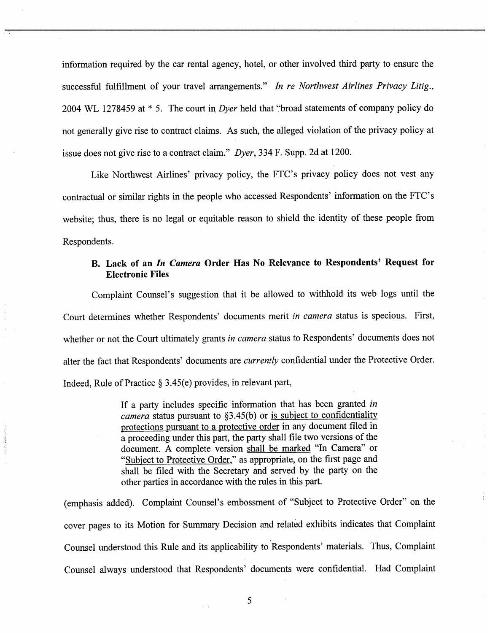information required by the car rental agency, hotel, or other involved third party to ensure the successful fulfillment of your travel arrangements." In re Northwest Airlines Privacy Litig., 2004 WL 1278459 at \* 5. The court in Dyer held that "broad statements of company policy do not generally give rise to contract claims. As such, the alleged violation of the privacy policy at issue does not give rise to a contract claim." Dyer, 334 F. Supp. 2d at 1200.

Like Northwest Airlines' privacy policy, the FTC's privacy policy does not vest any contractual or similar rights in the people who accessed Respondents' information on the FTC's website; thus, there is no legal or equitable reason to shield the identity of these people from Respondents.

# B. Lack of an In Camera Order Has No Relevance to Respondents' Request for Electronic Files

Complaint Counsel's suggestion that it be allowcd to withhold its web logs until the Court determines whether Respondents' documents merit in camera status is specious. First, whether or not the Court ultimately grants in camera status to Respondents' documents does not alter the fact that Respondents' documents are *currently* confidential under the Protective Order. Indeed, Rule of Practice  $\S 3.45(e)$  provides, in relevant part,

> If a party includes specific information that has been granted in camera status pursuant to  $\S3.45(b)$  or is subject to confidentiality protections pursuant to a protective order in any document fied in a proceeding under this part, the party shall fie two versions of the document. A complete version shall be marked "In Camera" or "Subject to Protective Order," as appropriate, on the first page and shall be filed with the Secretary and served by the party on the other paries in accordance with the rules in this part.

care and the

(emphasis added). Complaint Counsel's embossment of "Subject to Protective Order" on the cover pages to its Motion for Summary Decision and related exhibits indicates that Complaint Counsel understood this Rule and its applicability to Respondents' materials. Thus, Complaint Counsel always understood that Respondents ' documents were confidential. Had Complaint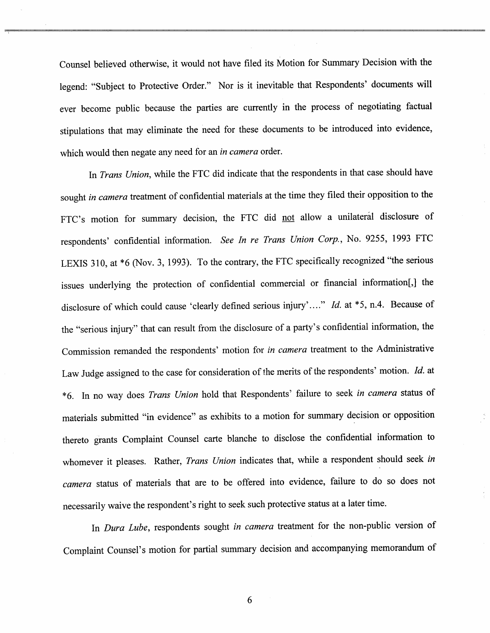Counsel believed otherwise, it would not have filed its Motion for Summary Decision with the legend: "Subject to Protective Order." Nor is it inevitable that Respondents' documents will ever become public because the parties are currently in the process of negotiating factual stipulations that may eliminate the need for these documents to be introduced into evidence which would then negate any need for an in camera order.

In *Trans Union*, while the FTC did indicate that the respondents in that case should have sought in camera treatment of confidential materials at the time they filed their opposition to the FTC's motion for summary decision, the FTC did not allow a unilateral disclosure of respondents' confidential information. See In re Trans Union Corp., No. 9255, 1993 FTC LEXIS 310, at \*6 (Nov. 3, 1993). To the contrary, the FTC specifically recognized "the serious issues underlying the protection of confidential commercial or financial information[,] the disclosure of which could cause 'clearly defined serious injury'...." *Id.* at \*5, n.4. Because of the "scrious injury" that can result from the disclosure of a party s confidential information, the Commission remanded the respondents' motion for in camera treatment to the Administrative Law Judge assigned to the case for consideration of the merits of the respondents' motion. Id. at \*6. In no way does Trans Union hold that Respondents' failure to seek in camera status of materials submitted "in evidence" as exhibits to a motion for summary decision or opposition thereto grants Complaint Counsel carte blanche to disclose the confidential information to whomever it pleases. Rather, Trans Union indicates that, while a respondent should seek in camera status of materials that are to be offered into evidence, failure to do so does not necessarily waive the respondent's right to seek such protective status at a later time.

In Dura Lube, respondents sought in camera treatment for the non-public version of Complaint Counsel's motion for partial summary decision and accompanying memorandum of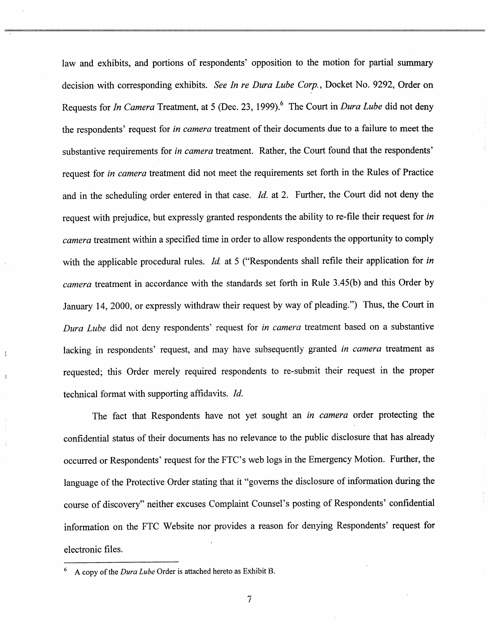law and exhibits, and portions of respondents' opposition to the motion for partial summary decision with corresponding exhibits. See In re Dura Lube Corp., Docket No. 9292, Order on Requests for *In Camera* Treatment, at 5 (Dec. 23, 1999).<sup>6</sup> The Court in *Dura Lube* did not deny the respondents' request for in camera treatment of their documents due to a failure to meet the substantive requirements for *in camera* treatment. Rather, the Court found that the respondents' request for in camera treatment did not meet the requirements set forth in the Rules of Practice and in the scheduling order entered in that case. Id. at 2. Further, the Court did not deny the request with prejudice, but expressly granted respondents the ability to re-file their request for in camera treatment within a specified time in order to allow respondents the opportunity to comply with the applicable procedural rules. Id. at 5 ("Respondents shall refile their application for in camera treatment in accordance with the standards set forth in Rule 3.45(b) and this Order by January 14, 2000, or expressly withdraw their request by way of pleading.") Thus, the Court in Dura Lube did not deny respondents' request for in camera treatment based on a substantive lacking in respondents' request, and may have subsequently granted in camera treatment as requested; this Order merely required respondents to re-submit their request in the proper technical format with supporting affidavits. *Id.* 

The fact that Respondents have not yet sought an *in camera* order protecting the confidential status of their documents has no relevance to the public disclosure that has already occurred or Respondents' request for the FTC's web logs in the Emergency Motion. Further, the language of the Protective Order stating that it "governs the disclosure of information during the course of discovery" neither excuses Complaint Counsel's posting of Respondents' confidential information on the FTC Website nor provides a reason for denying Respondents' request for electronic files.

 $6$  A copy of the *Dura Lube* Order is attached hereto as Exhibit B.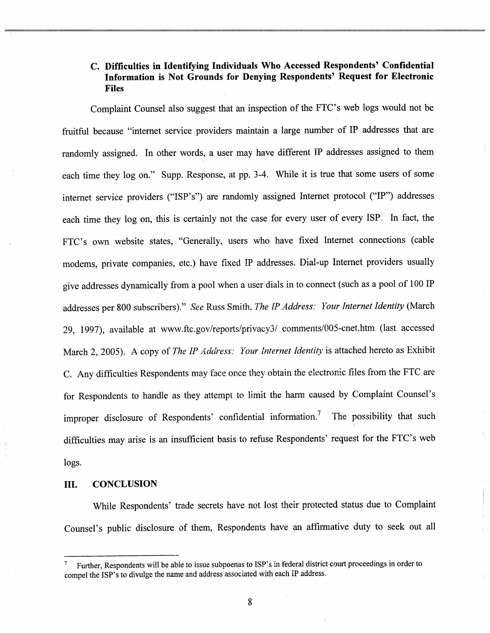# C. Diffculties in Identifying Individuals Who Accessed Respondents' Confidential Information is Not Grounds for Denying Respondents' Request for Electronic Files

Complaint Counsel also suggest that an inspection of the FTC's web logs would not be fruitful because "internet service providers maintain a large number of IP addresses that are randomly assigned. In other words, a user may have different IP addresses assigned to them each time they log on." Supp. Response, at pp. 3-4. While it is true that some users of some internet service providers ("ISP's") are randomly assigned Internet protocol ("IP") addresses each time they log on, this is certainly not the case for every user of every ISP. In fact, the FTC's own website states Generally, users who have fixed Internet connections (cable modems, private companies, etc.) have fixed IP addresses. Dial-up Internet providers usually give addresses dynamically from a pool when a user dials in to connect (such as a pool of 100 IP addresses per 800 subscribers)." See Russ Smith, The IP Address: Your Internet Identity (March 29, 1997), available at www.ftc.gov/reports/privacy3/ comments/005-cnet.htm (last accessed March 2, 2005). A copy of The IP Address: Your Internet Identity is attached hereto as Exhibit C. Any difficulties Respondents may face once they obtain the electronic files from the FTC are for Respondents to handle as they attempt to limit the harm caused by Complaint Counsel' improper disclosure of Respondents' confidential information.<sup>7</sup> The possibility that such difficulties may arise is an insufficient basis to refuse Respondents' request for the FTC's web logs.

#### II. CONCLUSION

While Respondents' trade secrets have not lost their protected status due to Complaint Counsel's public disclosure of them, Respondents have an affirmative duty to seek out all

Further, Respondents will be able to issue subpoenas to ISP's in federal district court proceedings in order to compel the ISP's to divulge the name and address associated with each iP address.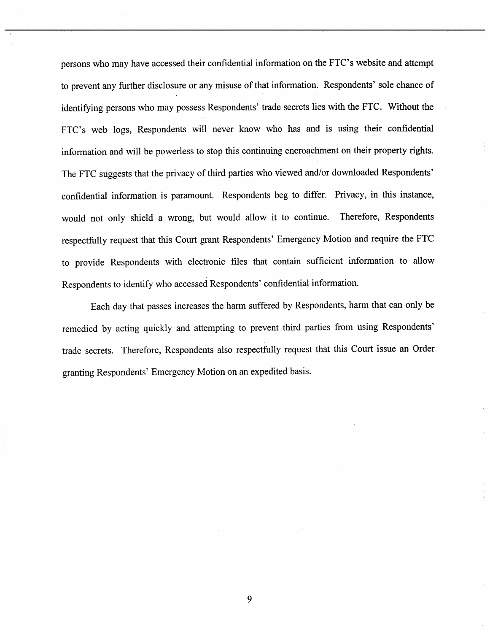persons who may have accessed their confidential information on the FTC's website and attempt to prevent any further disclosure or any misuse of that information. Respondents' sole chance of identifying persons who may possess Respondents' trade secrets lies with the FTC. Without the FTC's web logs, Respondents will never know who has and is using their confidential information and will be powerless to stop this continuing encroachment on their property rights. The FTC suggests that the privacy of third parties who viewed and/or downloaded Respondents' confidential information is paramount. Respondents beg to differ. Privacy, in this instance would not only shield a wrong, but would allow it to continue. Therefore, Respondents respectfully request that this Court grant Respondents' Emergency Motion and require the FTC to provide Respondents with electronic files that contain sufficient information to allow Respondents to identify who accessed Respondents' confidential information.

Each day that passes increases the harm suffered by Respondents, harm that can only be remedied by acting quickly and attempting to prevent third parties from using Respondents trade secrets. Therefore, Respondents also respectfully request that this Court issue an Order granting Respondents' Emergency Motion on an expedited basis.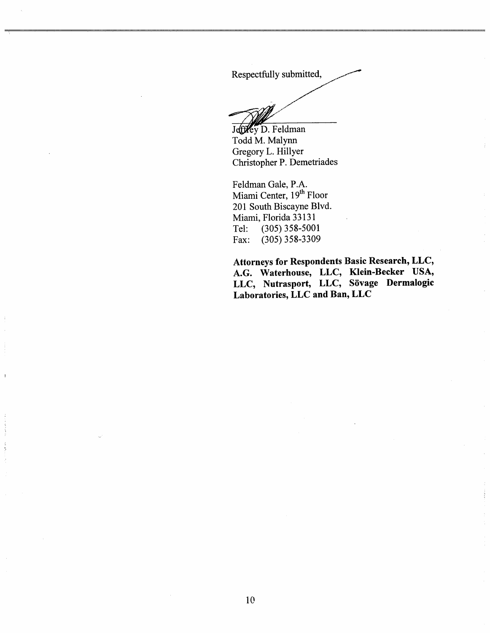Respectfully submitted,

Jeffley D. Feldman

Todd M. Malynn Gregory L. Hillyer Christopher P. Demetriades

Feldman Gale, P. Miami Center, 19<sup>th</sup> Floor 201 South Biscayne Blvd. Miami, Florida 33131 Tel: (305) 358-5001<br>Fax: (305) 358-3309 (305) 358-3309

Attorneys for Respondents Basic Research, LLC, A.G. Waterhouse, LLC, Klein-Becker USA, LLC, Nutrasport, LLC, Sövage Dermalogic Laboratories, LLC and Ban, LLC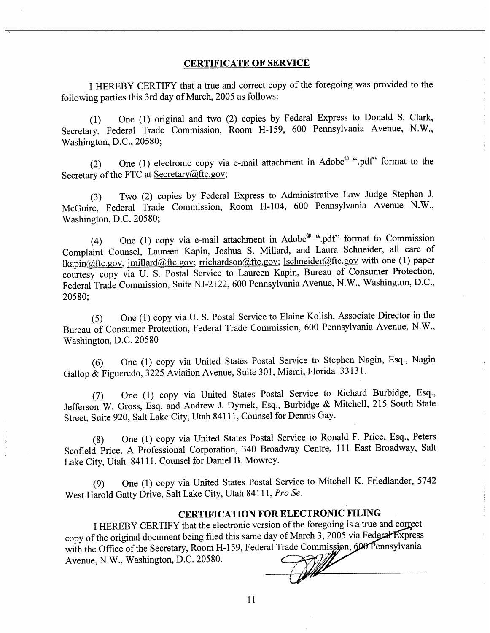#### CERTIFICATE OF SERVICE

I HEREBY CERTIFY that a true and correct copy of the foregoing was provided to the following parties this 3rd day of March, 2005 as follows:

(1) One (1) original and two (2) copies by Federal Express to Donald S. Clark Secretary, Federal Trade Commission, Room H-159, 600 Pennsylvania Avenue, N.W., Washington, D.C., 20580;

(2) One (1) electronic copy via e-mail attachment in Adobe<sup>®</sup> ".pdf" format to the Secretary of the FTC at Secretary $@$ ftc.gov;

(3) Two (2) copics by Federal Express to Administrative Law Judge Stephen J. McGuire, Federal Trade Commission, Room H-104, 600 Pennsylvania Avenue N.W., Washington, D.C. 20580;

(4) One (1) copy via e-mail attachment in Adobe $^{\circledR}$  ".pdf" format to Commission Complaint Counsel, Laureen Kapin, Joshua S. Millard, and Laura Schneider, all care of lkapin@ftc.gov, jmillard@ftc.gov; rrichardson@ftc.gov; lschneider@ftc.gov with one (1) paper courtesy copy via U. S. Postal Service to Laureen Kapin, Bureau of Consumer Protection Federal Trade Commission, Suite NJ-2122, 600 Pennsylvania Avenue, N.W., Washington, D.C., 20580;

(5) One (I) copy via U. S. Postal Service to Elaine Kolish, Associate Director in the Bureau of Consumer Protection, Federal Trade Commission, 600 Pennsylvania Avenue, N. Washington, D.C. 20580

(6) One (I) copy via Unitcd States Postal Service to Stephen Nagin, Esq., Nagin Gallop & Figueredo, 3225 Aviation Avenue, Suite 301, Miami, Florida 33131.

(7) One (I) copy via United States Postal Service to Richard Burbidge, Esq. Jefferson W. Gross, Esq. and Andrew J. Dymek, Esq., Burbidge & Mitchell, 215 South State Street, Suite 920, Salt Lake City, Utah 84111 , Counsel for Dennis Gay.

(8) One (I) copy via United States Postal Service to Ronald F. Price, Esq. , Peters Scofield Price, A Professional Corporation, 340 Broadway Centre, III East Broadway, Salt Lake City, Utah 84111 , Counsel for Daniel B. Mowrey.

(9) One (I) copy via United States Postal Servicc to Mitchell K. Friedlander, 5742 West Harold Gatty Drive, Salt Lake City, Utah 84111, Pro Se.

## CERTIFICATION FOR ELECTRONIC FILING

1 HEREBY CERTIFY that the electronic version of the foregoing is a true and correct copy of the original document being filed this same day of March  $3$ , 2005 via Federal Express with the Office of the Secretary, Room H-159, Federal Trade Commission, 600 Pennsylvania<br>Avenue, N.W., Washington, D.C. 20580. Avenue, N.W., Washington, D.C. 20580.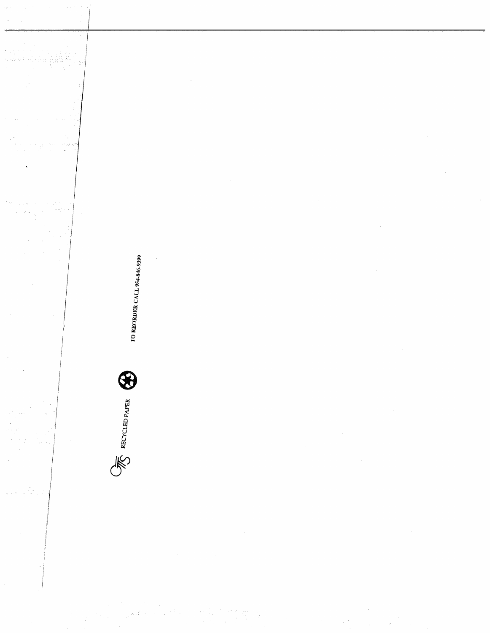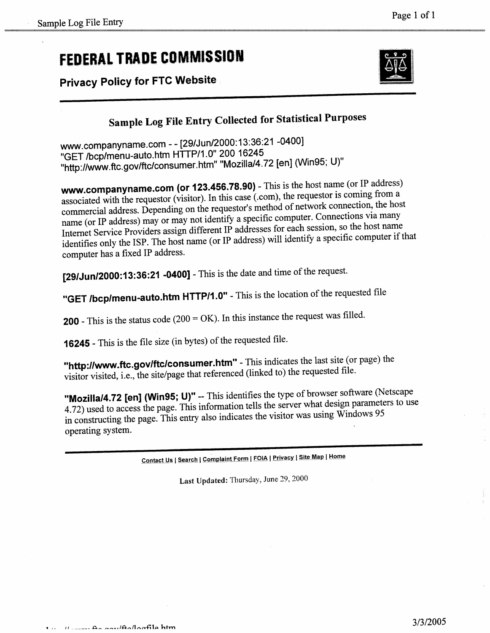# FEDERAL TRADE COMMISSION

Privacy Policy for FTC Website



Page I of 1

# Sample Log File Entry Collected for Statistical Purposes

ww. companyname. com - - (29/Jun/2000: 13:36:21 -0400) GET /bcp/menu-auto. htm HTTP/1. 0" 200 16245 http://WW.ftc.gov/ftc/consumer.htm Mozilla/4.72 (en) (Win95; U)"

ww.companyname.com (or 123.456.78.90) - This is the host name (or IP address) associated with the requestor (visitor). In this case (. com), the requestor is coming from a commercial address. Depending on the requestor's method of network connection, the host name (or IP address) may or may not identify a specific computer. Connections via many Internet Service Providers assign different IP addresses for each session Internet Service Providers assign different IP addresses for each session, so the host name identifies only the ISP. The host name (or IP address) will identify a specific computer  $\frac{1}{2}$ computer has a fixed IP address.

[29/Jun/2000:13:36:21 -0400] - This is the date and time of the request.

GET /bcp/menu-auto.htm HTTP/1.0" - This is the location of the requested file

**200** - This is the status code  $(200 = OK)$ . In this instance the request was filled.

**16245** - This is the file size (in bytes) of the requested file.

"http://www.ftc.gov/ftc/consumer.htm" - This indicates the last site (or page) the visitor visited, i.e., the site/page that referenced (linked to) the requested file.

"Mozilla/4.72 [en] (Win95; U)" -- This identifies the type of browser software (Netscape 4.72) used to access the page. This information tells the server what design parameters to use in constructing thc page. This entry also indicates the visitor was using Windows 95 operating system.

Contact Us | Search | Complaint Form | FOIA | Privacy | Site Map | Home

Last Updated: Thursday, June 29, 2000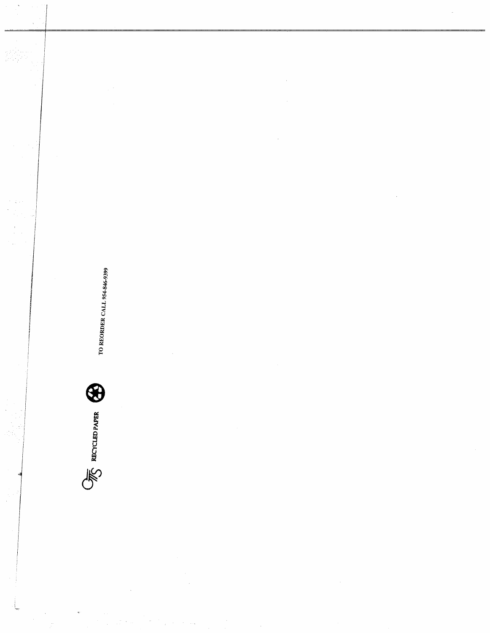

 $\bar{z}$ 

 $\hat{\boldsymbol{\theta}}$ 

t.<br>C

TO REORDER CALL 954-846-9399

i,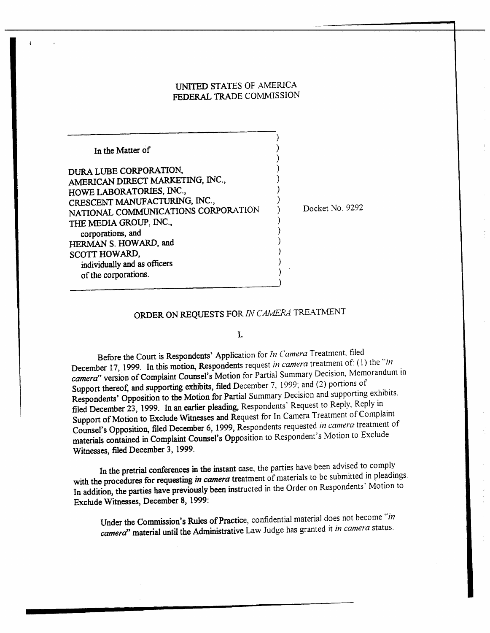### UNITED STATES OF AMERICA FEDERAL TRADE COMMISSION

| In the Matter of                                           |  |
|------------------------------------------------------------|--|
| DURA LUBE CORPORATION.<br>AMERICAN DIRECT MARKETING, INC., |  |
| HOWE LABORATORIES, INC.,                                   |  |
| CRESCENT MANUFACTURING, INC.,                              |  |
| NATIONAL COMMUNICATIONS CORPORATION                        |  |
| THE MEDIA GROUP, INC.,<br>corporations, and                |  |
| HERMAN S. HOWARD, and                                      |  |
| SCOTT HOWARD,<br>individually and as officers              |  |
| of the corporations.                                       |  |

 $\epsilon$ 

Docket No. 9292

# ORDER ON REQUESTS FOR IN CAMERA TREATMENT

#### $\mathbf{L}$

Before the Court is Respondents' Application for  $In$  Camera Treatment, filed December 17, 1999. In this motion, Respondents request in camera treatment of (1) the "in camera" version of Complaint Counsel's Motion for Partial Summary Decision, Memorandum in Support thereof, and supporting exhibits, filed December 7, 1999; and (2) portions of Respondents' Opposition to the Motion for Partial Summary Decision and supporting exhibits, filed December 23, 1999. In an earlier pleading, Respondents' Request to Reply, Reply in Support of Motion to Exclude Witnesses and Request for In Camera Treatment of Complaint Counsel's Opposition, filed December 6, 1999, Respondents requested in camera treatment of materials contained in Complaint Counsel's Opposition to Respondent's Motion to Exclude Witnesses, filed December 3, 1999.

In the pretrial conferences in the intant case, the parties have been advised to comply with the procedures for requesting in camera treatment of materials to be submitted in pleadings. In addition, the parties have previously been instructed in the Order on Respondents' Motion to Exclude Witnesses, December 8, 1999:

Under the Commission's Rules of Practice, confidential material does not become "in camera' material until the Administrative Law Judge has granted it in camera status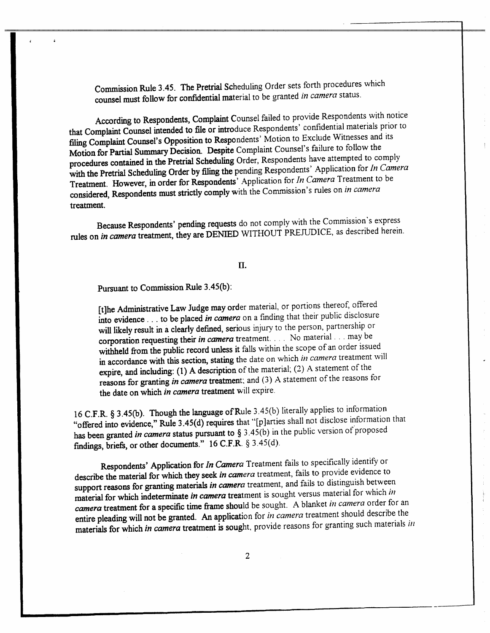Commission Rule 3.45. The Pretrial Scheduling Order sets forth procedures which counsel must follow for confidential material to be granted in camera status

According to Respondents, Complaint Counsel failed to provide Respondents with notice that Complait Counsel intended to fie or introduce Respondents' confidential materials prior to filing Complaint Counsel's Opposition to Respondents' Motion to Exclude Witnesses and its Motion for Partial Summary Decision. Despite Complaint Counsel's failure to follow the procedures contained in the Pretrial Scheduling Order, Respondents have attempted to comply with the Pretrial Scheduling Order by filing the pending Respondents' Application for In Camera Treatment. However, in order for Respondents' Application for In Camera Treatment to be considered, Respondents must strictly comply with the Commission's rules on in camera treatment.

Because Respondents' pending requests do not comply with the Commission's express rules on in camera treatment, they are DENIED WITHOUT PREJUDICE, as described herein.

IT.

Pursuant to Commission Rule 3.45(b):

[t]he Administrative Law Judge may order material, or portions thereof, offered into evidence  $\ldots$  to be placed in camera on a finding that their public disclosure will likely result in a clearly defined, serious injury to the person, partnership or corporation requesting their in camera treatment.. . No material. . may be witheld from the public record unless it falls within the scope of an order issued in accordance with this section, stating the date on which in camera treatment will expire, and including: (1) A description of the material; (2) A statement of the reasons for granting in camera treatment: and (3) A statement of the reasons for the date on which in camera treatment will expire.

16 C.F.R. § 3.45(b). Though the language of Rule 3.45(b) literally applies to information "offered into evidence," Rule 3.45(d) requires that "[p]arties shall not disclose information that has been granted in camera status pursuant to  $\S 3.45(b)$  in the public version of proposed findings, briefs, or other documents."  $16$  C.F.R. § 3.45(d).

Respondents' Application for In Camera Treatment fails to specifically identify or describe the material for which they seek in camera treatment, fails to provide evidence to support reasons for granting materials in camera treatment, and fails to distinguish between material for which indeterminate in camera treatment is sought versus material for which in *camera* treatment for a specific time frame should be sought. A blanket in camera order for an entire pleading will not be granted. An application for in camera treatment should describe the materials for which *in camera* treatment is sought, provide reasons for granting such materials *in* materials